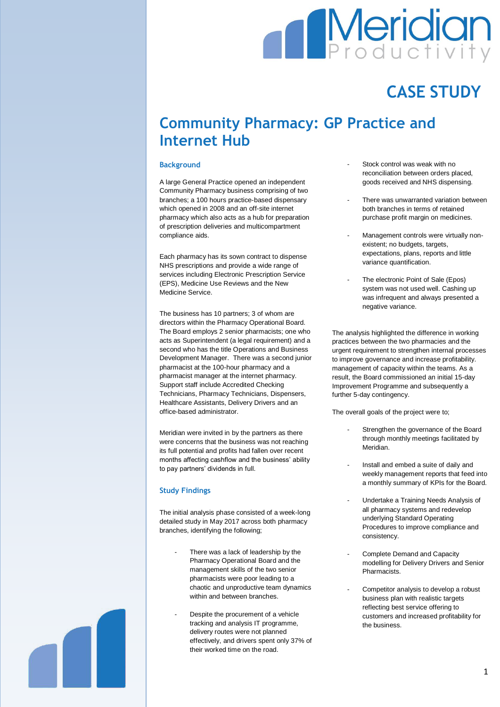# Meridian<br>**Productivity**  $\blacksquare$

## **CASE STUDY**

### **Community Pharmacy: GP Practice and Internet Hub**

#### **Background**

A large General Practice opened an independent Community Pharmacy business comprising of two branches; a 100 hours practice-based dispensary which opened in 2008 and an off-site internet pharmacy which also acts as a hub for preparation of prescription deliveries and multicompartment compliance aids.

Each pharmacy has its sown contract to dispense NHS prescriptions and provide a wide range of services including Electronic Prescription Service (EPS), Medicine Use Reviews and the New Medicine Service.

The business has 10 partners; 3 of whom are directors within the Pharmacy Operational Board. The Board employs 2 senior pharmacists; one who acts as Superintendent (a legal requirement) and a second who has the title Operations and Business Development Manager. There was a second junior pharmacist at the 100-hour pharmacy and a pharmacist manager at the internet pharmacy. Support staff include Accredited Checking Technicians, Pharmacy Technicians, Dispensers, Healthcare Assistants, Delivery Drivers and an office-based administrator.

Meridian were invited in by the partners as there were concerns that the business was not reaching its full potential and profits had fallen over recent months affecting cashflow and the business' ability to pay partners' dividends in full.

#### **Study Findings**

The initial analysis phase consisted of a week-long detailed study in May 2017 across both pharmacy branches, identifying the following;

- There was a lack of leadership by the Pharmacy Operational Board and the management skills of the two senior pharmacists were poor leading to a chaotic and unproductive team dynamics within and between branches.
- Despite the procurement of a vehicle tracking and analysis IT programme, delivery routes were not planned effectively, and drivers spent only 37% of their worked time on the road.
- Stock control was weak with no reconciliation between orders placed, goods received and NHS dispensing.
- There was unwarranted variation between both branches in terms of retained purchase profit margin on medicines.
- Management controls were virtually nonexistent; no budgets, targets, expectations, plans, reports and little variance quantification.
- The electronic Point of Sale (Epos) system was not used well. Cashing up was infrequent and always presented a negative variance.

The analysis highlighted the difference in working practices between the two pharmacies and the urgent requirement to strengthen internal processes to improve governance and increase profitability. management of capacity within the teams. As a result, the Board commissioned an initial 15-day Improvement Programme and subsequently a further 5-day contingency.

The overall goals of the project were to;

- Strengthen the governance of the Board through monthly meetings facilitated by Meridian.
- Install and embed a suite of daily and weekly management reports that feed into a monthly summary of KPIs for the Board.
- Undertake a Training Needs Analysis of all pharmacy systems and redevelop underlying Standard Operating Procedures to improve compliance and consistency.
- Complete Demand and Capacity modelling for Delivery Drivers and Senior Pharmacists.
- Competitor analysis to develop a robust business plan with realistic targets reflecting best service offering to customers and increased profitability for the business.

1